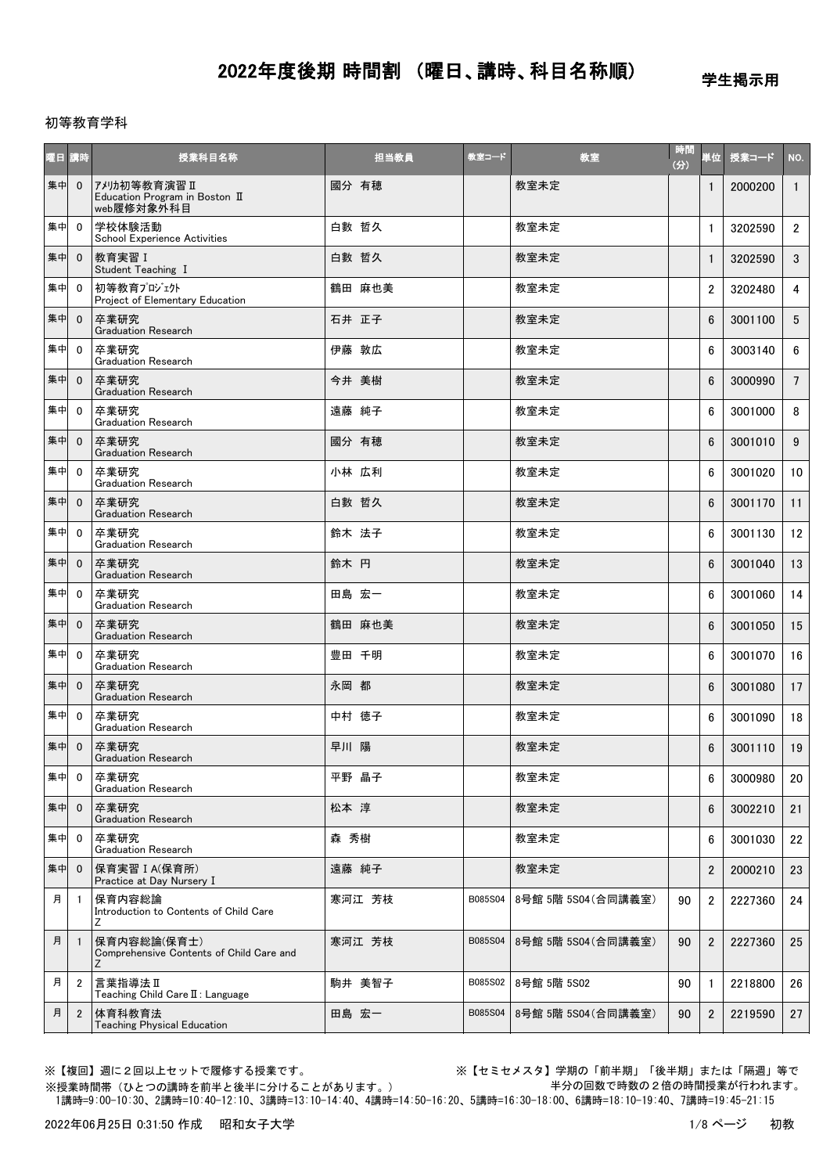学生掲示用

#### 初等教育学科

| 曜日 講時 |                | 授業科目名称                                                        | 担当教員   | 教室コード   | 教室                  | 時間<br>(3) | 単位             | 授業コード   | NO.             |
|-------|----------------|---------------------------------------------------------------|--------|---------|---------------------|-----------|----------------|---------|-----------------|
| 集中    | $\mathbf 0$    | アメリカ初等教育演習 II<br>Education Program in Boston II<br>web履修対象外科目 | 國分 有穂  |         | 教室未定                |           | $\mathbf{1}$   | 2000200 | $\overline{1}$  |
| 集中    | $\mathbf{0}$   | 学校体験活動<br><b>School Experience Activities</b>                 | 白數 哲久  |         | 教室未定                |           | $\mathbf{1}$   | 3202590 | $\mathbf{2}$    |
| 集中    | $\mathbf{0}$   | 教育実習 I<br>Student Teaching I                                  | 白數 哲久  |         | 教室未定                |           | $\mathbf{1}$   | 3202590 | 3               |
| 集中    | $\mathbf{0}$   | 初等教育プロジェクト<br>Project of Elementary Education                 | 鶴田 麻也美 |         | 教室未定                |           | $\overline{2}$ | 3202480 | $\overline{4}$  |
| 集中    | $\mathbf{0}$   | 卒業研究<br><b>Graduation Research</b>                            | 石井 正子  |         | 教室未定                |           | 6              | 3001100 | 5               |
| 集中    | $\mathbf{0}$   | 卒業研究<br><b>Graduation Research</b>                            | 伊藤 敦広  |         | 教室未定                |           | 6              | 3003140 | 6               |
| 集中    | $\mathbf 0$    | 卒業研究<br><b>Graduation Research</b>                            | 今井 美樹  |         | 教室未定                |           | 6              | 3000990 | $7\overline{ }$ |
| 集中    | $\mathbf{0}$   | 卒業研究<br><b>Graduation Research</b>                            | 遠藤 純子  |         | 教室未定                |           | 6              | 3001000 | 8               |
| 集中    | $\mathbf{0}$   | 卒業研究<br><b>Graduation Research</b>                            | 國分 有穂  |         | 教室未定                |           | 6              | 3001010 | 9               |
| 集中    | $\mathbf{0}$   | 卒業研究<br><b>Graduation Research</b>                            | 小林 広利  |         | 教室未定                |           | 6              | 3001020 | 10              |
| 集中    | $\mathbf{0}$   | 卒業研究<br><b>Graduation Research</b>                            | 白數 哲久  |         | 教室未定                |           | 6              | 3001170 | 11              |
| 集中    | $\mathbf{0}$   | 卒業研究<br><b>Graduation Research</b>                            | 鈴木 法子  |         | 教室未定                |           | 6              | 3001130 | 12              |
| 集中    | $\mathbf{0}$   | 卒業研究<br><b>Graduation Research</b>                            | 鈴木 円   |         | 教室未定                |           | $6\phantom{1}$ | 3001040 | 13              |
| 集中    | $\mathbf{0}$   | 卒業研究<br><b>Graduation Research</b>                            | 田島 宏一  |         | 教室未定                |           | 6              | 3001060 | 14              |
| 集中    | $\mathbf 0$    | 卒業研究<br><b>Graduation Research</b>                            | 鶴田 麻也美 |         | 教室未定                |           | 6              | 3001050 | 15              |
| 集中    | $\mathbf{0}$   | 卒業研究<br><b>Graduation Research</b>                            | 豊田 千明  |         | 教室未定                |           | 6              | 3001070 | 16              |
| 集中    | $\mathbf{0}$   | 卒業研究<br><b>Graduation Research</b>                            | 永岡 都   |         | 教室未定                |           | 6              | 3001080 | 17              |
| 集中    | $\mathbf 0$    | 卒業研究<br><b>Graduation Research</b>                            | 中村 徳子  |         | 教室未定                |           | 6              | 3001090 | 18              |
| 集中    | $\mathbf{0}$   | 卒業研究<br><b>Graduation Research</b>                            | 早川 陽   |         | 教室未定                |           | $6\phantom{1}$ | 3001110 | 19              |
| 集中    | 0              | 卒業研究<br><b>Graduation Research</b>                            | 平野 晶子  |         | 教室未定                |           | 6              | 3000980 | 20              |
| 集中    | $\mathbf 0$    | 卒業研究<br><b>Graduation Research</b>                            | 松本 淳   |         | 教室未定                |           | 6              | 3002210 | 21              |
| 集中    | $\mathbf 0$    | 卒業研究<br><b>Graduation Research</b>                            | 森 秀樹   |         | 教室未定                |           | 6              | 3001030 | 22              |
| 集中    | $\mathbf{0}$   | 保育実習 I A(保育所)<br>Practice at Day Nursery I                    | 遠藤 純子  |         | 教室未定                |           | $\overline{2}$ | 2000210 | 23              |
| 月     | -1             | 保育内容総論<br>Introduction to Contents of Child Care<br>Ζ         | 寒河江 芳枝 | B085S04 | 8号館 5階 5S04 (合同講義室) | 90        | $\overline{2}$ | 2227360 | 24              |
| 月     | $\mathbf{1}$   | 保育内容総論(保育士)<br>Comprehensive Contents of Child Care and<br>Ζ  | 寒河江 芳枝 | B085S04 | 8号館 5階 5S04 (合同講義室) | 90        | $\overline{2}$ | 2227360 | 25              |
| 月     | $\overline{c}$ | 言葉指導法Ⅱ<br>Teaching Child Care II : Language                   | 駒井 美智子 | B085S02 | 8号館 5階 5S02         | 90        | 1              | 2218800 | 26              |
| 月     | $\overline{2}$ | 体育科教育法<br><b>Teaching Physical Education</b>                  | 田島 宏一  | B085S04 | 8号館 5階 5S04(合同講義室)  | 90        | $\overline{2}$ | 2219590 | 27              |

※授業時間帯(ひとつの講時を前半と後半に分けることがあります。)

※【複回】週に2回以上セットで履修する授業です。 ※【セミセメスタ】学期の「前半期」「後半期」または「隔週」等で 半分の回数で時数の2倍の時間授業が行われます。

1講時=9:00-10:30、2講時=10:40-12:10、3講時=13:10-14:40、4講時=14:50-16:20、5講時=16:30-18:00、6講時=18:10-19:40、7講時=19:45-21:15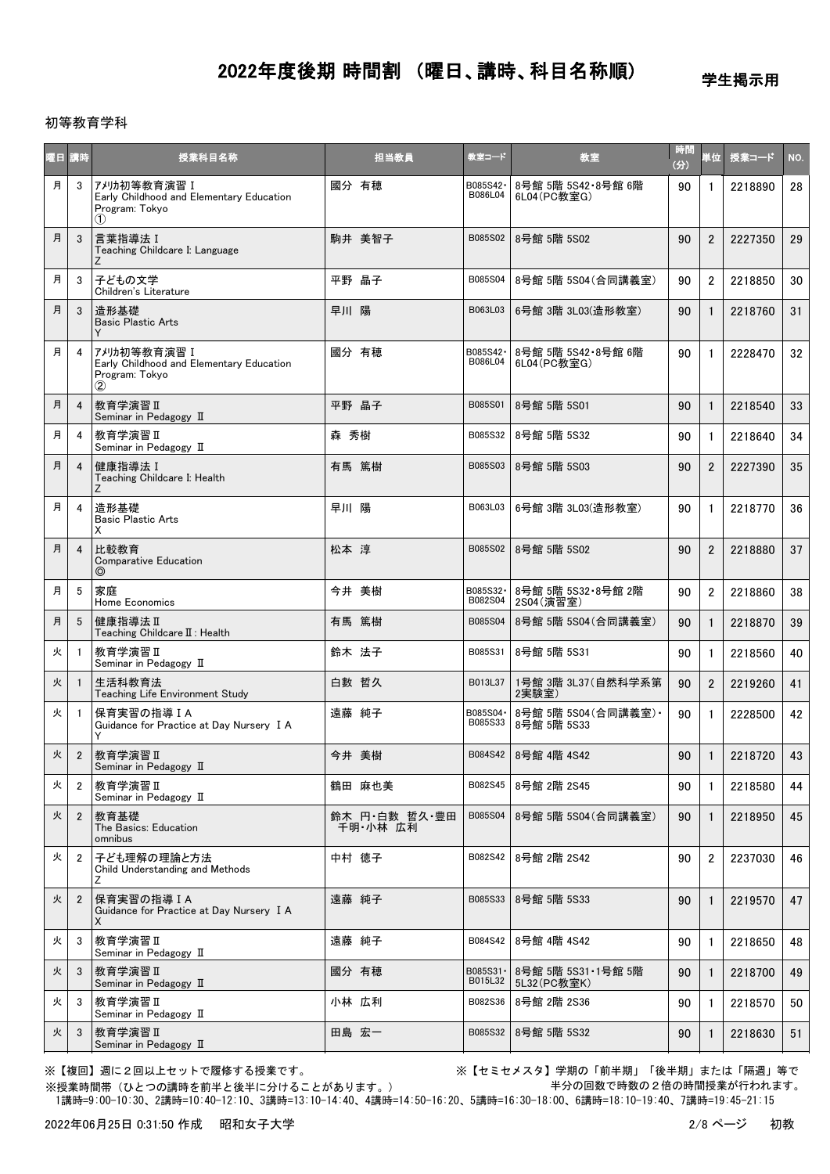学生掲示用

### 初等教育学科

| 曜日 | 講時             | 授業科目名称                                                                                    | 担当教員                      | 教室コード                | 教室                                   | 時間<br>(3) | 単位             | 授業コード   | NO.             |
|----|----------------|-------------------------------------------------------------------------------------------|---------------------------|----------------------|--------------------------------------|-----------|----------------|---------|-----------------|
| 月  | 3              | アメリカ初等教育演習 I<br>Early Childhood and Elementary Education<br>Program: Tokyo<br>(1)         | 國分 有穂                     | B085S42-<br>B086L04  | 8号館 5階 5S42·8号館 6階<br>6L04(PC教室G)    | 90        | $\mathbf{1}$   | 2218890 | 28              |
| 月  | 3              | 言葉指導法 I<br>Teaching Childcare I: Language<br>Ζ                                            | 駒井 美智子                    | B085S02              | 8号館 5階 5S02                          | 90        | $\overline{2}$ | 2227350 | 29              |
| 月  | 3              | 子どもの文学<br>Children's Literature                                                           | 平野 晶子                     | B085S04              | 8号館 5階 5S04 (合同講義室)                  | 90        | $\overline{2}$ | 2218850 | 30              |
| 月  | 3              | 造形基礎<br><b>Basic Plastic Arts</b>                                                         | 早川 陽                      | B063L03              | 6号館 3階 3L03(造形教室)                    | 90        | $\mathbf{1}$   | 2218760 | 31              |
| 月  | 4              | アメリカ初等教育演習 I<br>Early Childhood and Elementary Education<br>Program: Tokyo<br>$\circled2$ | 國分 有穂                     | B085S42·<br>B086L04  | 8号館 5階 5S42·8号館 6階<br>6L04(PC教室G)    | 90        | $\mathbf{1}$   | 2228470 | 32 <sup>°</sup> |
| 月  | 4              | 教育学演習 II<br>Seminar in Pedagogy II                                                        | 平野 晶子                     | B085S01              | 8号館 5階 5S01                          | 90        |                | 2218540 | 33              |
| 月  | 4              | 教育学演習 II<br>Seminar in Pedagogy II                                                        | 森 秀樹                      | B085S32              | 8号館 5階 5S32                          | 90        | $\mathbf{1}$   | 2218640 | 34              |
| 月  | 4              | 健康指導法 I<br>Teaching Childcare I: Health<br>Ζ                                              | 有馬 篤樹                     | B085S03              | 8号館 5階 5S03                          | 90        | $\overline{2}$ | 2227390 | 35              |
| 月  | 4              | 造形基礎<br><b>Basic Plastic Arts</b><br>Х                                                    | 早川 陽                      | B063L03              | 6号館 3階 3L03(造形教室)                    | 90        | $\mathbf{1}$   | 2218770 | 36              |
| 月  | 4              | 比較教育<br><b>Comparative Education</b><br>⊚                                                 | 松本 淳                      | B085S02              | 8号館 5階 5S02                          | 90        | $\overline{2}$ | 2218880 | 37              |
| 月  | 5              | 家庭<br>Home Economics                                                                      | 今井 美樹                     | B085S32·<br>B082S04  | 8号館 5階 5S32·8号館 2階<br>2S04(演習室)      | 90        | $\overline{2}$ | 2218860 | 38              |
| 月  | 5              | 健康指導法Ⅱ<br>Teaching Childcare II: Health                                                   | 有馬 篤樹                     | B085S04              | 8号館 5階 5S04(合同講義室)                   | 90        | $\mathbf{1}$   | 2218870 | 39              |
| 火  | -1             | 教育学演習Ⅱ<br>Seminar in Pedagogy II                                                          | 鈴木 法子                     | B085S31              | 8号館 5階 5S31                          | 90        | $\mathbf{1}$   | 2218560 | 40              |
| 火  |                | 生活科教育法<br>Teaching Life Environment Study                                                 | 白數 哲久                     | B013L37              | 1号館 3階 3L37 (自然科学系第<br>2実験室)         | 90        | $\overline{2}$ | 2219260 | 41              |
| 火  |                | 保育実習の指導IA<br>Guidance for Practice at Day Nursery I A<br>Y                                | 遠藤 純子                     | B085S04 ·<br>B085S33 | 8号館 5階 5S04 (合同講義室) ·<br>8号館 5階 5S33 | 90        | $\mathbf{1}$   | 2228500 | 42              |
| 火  | $\overline{2}$ | 教育学演習Ⅱ<br>Seminar in Pedagogy II                                                          | 今井 美樹                     | B084S42              | 8号館 4階 4S42                          | 90        | $\mathbf{1}$   | 2218720 | 43              |
| 火  | 2              | 教育学演習Ⅱ<br>Seminar in Pedagogy II                                                          | 鶴田 麻也美                    | B082S45              | 8号館 2階 2S45                          | 90        | $\mathbf{1}$   | 2218580 | 44              |
| 火  | $\overline{2}$ | 教育基礎<br>The Basics: Education<br>omnibus                                                  | 鈴木 円·白數 哲久·豊田<br>千明 小林 広利 | B085S04              | 8号館 5階 5S04(合同講義室)                   | 90        | $\mathbf{1}$   | 2218950 | 45              |
| 火  | 2              | 子ども理解の理論と方法<br>Child Understanding and Methods<br>Ζ                                       | 中村 徳子                     | B082S42              | 8号館 2階 2S42                          | 90        | $\overline{2}$ | 2237030 | 46              |
| 火  | $\overline{2}$ | 保育実習の指導IA<br>Guidance for Practice at Day Nursery I A<br>X                                | 遠藤 純子                     | B085S33              | 8号館 5階 5S33                          | 90        | 1              | 2219570 | 47              |
| 火  | 3              | 教育学演習 II<br>Seminar in Pedagogy II                                                        | 遠藤 純子                     | B084S42              | 8号館 4階 4S42                          | 90        | $\mathbf{1}$   | 2218650 | 48              |
| 火  | 3              | 教育学演習Ⅱ<br>Seminar in Pedagogy II                                                          | 國分 有穂                     | B085S31 ·<br>B015L32 | 8号館 5階 5S31·1号館 5階<br>5L32(PC教室K)    | 90        | $\mathbf{1}$   | 2218700 | 49              |
| 火  | 3              | 教育学演習 II<br>Seminar in Pedagogy II                                                        | 小林 広利                     | B082S36              | 8号館 2階 2S36                          | 90        | 1              | 2218570 | 50              |
| 火  | 3              | 教育学演習 II<br>Seminar in Pedagogy II                                                        | 田島 宏一                     | B085S32              | 8号館 5階 5S32                          | 90        |                | 2218630 | 51              |

※授業時間帯(ひとつの講時を前半と後半に分けることがあります。)

※【複回】週に2回以上セットで履修する授業です。 ※【セミセメスタ】学期の「前半期」「後半期」または「隔週」等で 半分の回数で時数の2倍の時間授業が行われます。

1講時=9:00-10:30、2講時=10:40-12:10、3講時=13:10-14:40、4講時=14:50-16:20、5講時=16:30-18:00、6講時=18:10-19:40、7講時=19:45-21:15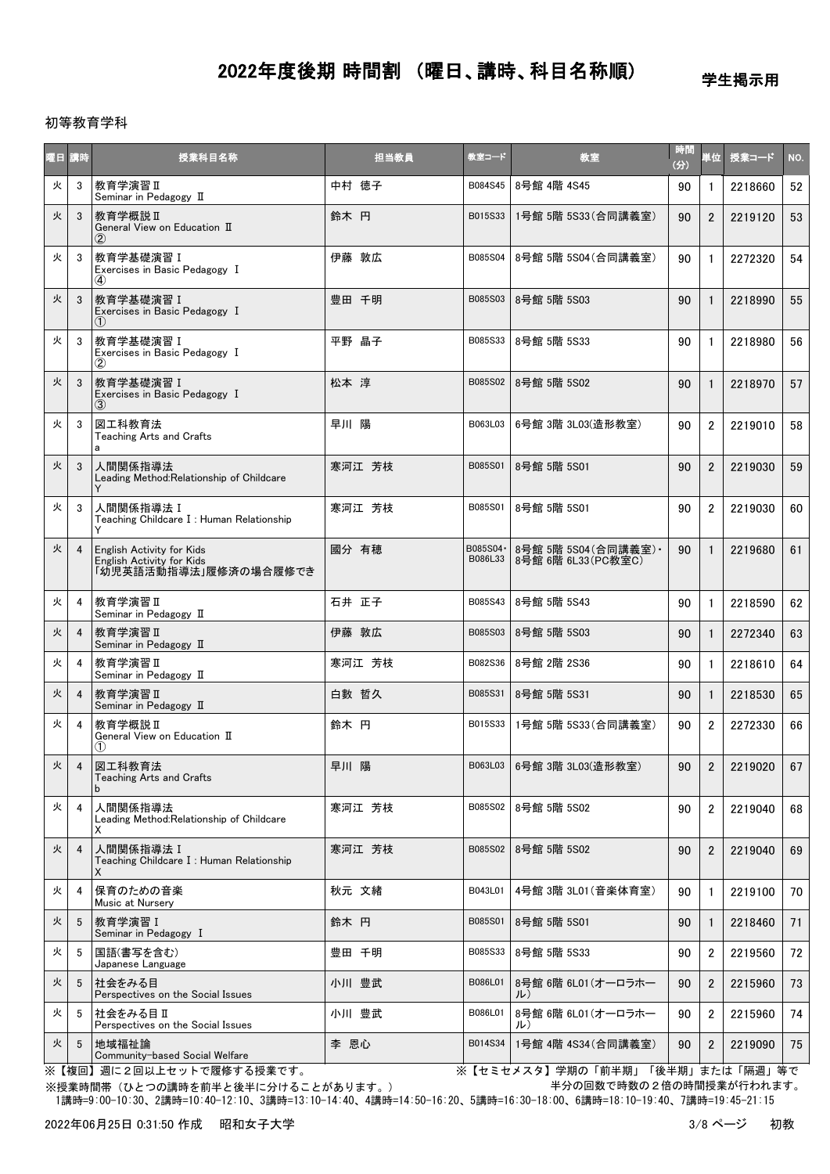学生掲示用

### 初等教育学科

|   | 曜日 講時          | 授業科目名称                                                                          | 担当教員   | 教室コード                | 教室                                          | 時間<br>(分) | 単位             | 授業コード   | NO. |
|---|----------------|---------------------------------------------------------------------------------|--------|----------------------|---------------------------------------------|-----------|----------------|---------|-----|
| 火 | 3              | 教育学演習 II<br>Seminar in Pedagogy II                                              | 中村 徳子  | B084S45              | 8号館 4階 4S45                                 | 90        | -1             | 2218660 | 52  |
| 火 | 3              | 教育学概説 II<br>General View on Education II<br>$\rm(2)$                            | 鈴木 円   | B015S33              | 1号館 5階 5S33(合同講義室)                          | 90        | $\overline{2}$ | 2219120 | 53  |
| 火 | 3              | 教育学基礎演習 I<br>Exercises in Basic Pedagogy I<br>$\bf(4)$                          | 伊藤 敦広  | B085S04              | 8号館 5階 5S04(合同講義室)                          | 90        | $\mathbf{1}$   | 2272320 | 54  |
| 火 | 3              | 教育学基礎演習 I<br>Exercises in Basic Pedagogy I<br>(1)                               | 豊田 千明  | B085S03              | 8号館 5階 5S03                                 | 90        | $\mathbf{1}$   | 2218990 | 55  |
| 火 | 3              | 教育学基礎演習 I<br>Exercises in Basic Pedagogy I<br>$\circled{2}$                     | 平野 晶子  | B085S33              | 8号館 5階 5S33                                 | 90        | -1             | 2218980 | 56  |
| 火 | 3              | 教育学基礎演習 I<br>Exercises in Basic Pedagogy I<br>(3)                               | 松本 淳   | B085S02              | 8号館 5階 5S02                                 | 90        | $\mathbf{1}$   | 2218970 | 57  |
| 火 | 3              | 図工科教育法<br><b>Teaching Arts and Crafts</b><br>a                                  | 早川 陽   | B063L03              | 6号館 3階 3L03(造形教室)                           | 90        | $\overline{2}$ | 2219010 | 58  |
| 火 | 3              | 人間関係指導法<br>Leading Method:Relationship of Childcare<br>Υ                        | 寒河江 芳枝 | B085S01              | 8号館 5階 5S01                                 | 90        | $\overline{2}$ | 2219030 | 59  |
| 火 | 3              | 人間関係指導法 I<br>Teaching Childcare I: Human Relationship<br>Y                      | 寒河江 芳枝 | B085S01              | 8号館 5階 5S01                                 | 90        | $\overline{2}$ | 2219030 | 60  |
| 火 | $\overline{4}$ | English Activity for Kids<br>English Activity for Kids<br>「幼児英語活動指導法」履修済の場合履修でき | 國分 有穂  | B085S04 ·<br>B086L33 | 8号館 5階 5S04 (合同講義室) ·<br>8号館 6階 6L33(PC教室C) | 90        | $\mathbf{1}$   | 2219680 | 61  |
| 火 | 4              | 教育学演習 II<br>Seminar in Pedagogy II                                              | 石井 正子  | B085S43              | 8号館 5階 5S43                                 | 90        | $\mathbf{1}$   | 2218590 | 62  |
| 火 | 4              | 教育学演習Ⅱ<br>Seminar in Pedagogy II                                                | 伊藤 敦広  | B085S03              | 8号館 5階 5S03                                 | 90        | $\mathbf{1}$   | 2272340 | 63  |
| 火 | 4              | 教育学演習Ⅱ<br>Seminar in Pedagogy II                                                | 寒河江 芳枝 | B082S36              | 8号館 2階 2S36                                 | 90        | -1             | 2218610 | 64  |
| 火 | 4              | 教育学演習 II<br>Seminar in Pedagogy II                                              | 白數 哲久  | B085S31              | 8号館 5階 5S31                                 | 90        | $\mathbf{1}$   | 2218530 | 65  |
| 火 | 4              | 教育学概説 II<br>General View on Education II<br>(1)                                 | 鈴木 円   | B015S33              | 1号館 5階 5S33 (合同講義室)                         | 90        | $\overline{2}$ | 2272330 | 66  |
| 火 | 4              | 図工科教育法<br><b>Teaching Arts and Crafts</b>                                       | 早川 陽   |                      | B063L03 6号館 3階 3L03(造形教室)                   | 90        | $\mathbf{2}$   | 2219020 | 67  |
| 火 | 4              | 人間関係指導法<br>Leading Method: Relationship of Childcare<br>х                       | 寒河江 芳枝 | B085S02              | 8号館 5階 5S02                                 | 90        | $\overline{2}$ | 2219040 | 68  |
| 火 | $\overline{4}$ | 人間関係指導法I<br>Teaching Childcare I: Human Relationship<br>X                       | 寒河江 芳枝 | B085S02              | 8号館 5階 5S02                                 | 90        | $\overline{2}$ | 2219040 | 69  |
| 火 | 4              | 保育のための音楽<br>Music at Nursery                                                    | 秋元 文緒  | B043L01              | 4号館 3階 3L01 (音楽体育室)                         | 90        | $\mathbf{1}$   | 2219100 | 70  |
| 火 | 5              | 教育学演習 I<br>Seminar in Pedagogy I                                                | 鈴木 円   | B085S01              | 8号館 5階 5S01                                 | 90        | $\mathbf{1}$   | 2218460 | 71  |
| 火 | 5              | 国語(書写を含む)<br>Japanese Language                                                  | 豊田 千明  | B085S33              | 8号館 5階 5S33                                 | 90        | $\overline{2}$ | 2219560 | 72  |
| 火 | 5              | 社会をみる目<br>Perspectives on the Social Issues                                     | 小川 豊武  | B086L01              | 8号館 6階 6L01 (オーロラホー<br>ル)                   | 90        | $\overline{2}$ | 2215960 | 73  |
| 火 | 5              | 社会をみる目Ⅱ<br>Perspectives on the Social Issues                                    | 小川 豊武  | B086L01              | 8号館 6階 6L01 (オーロラホー<br>ル)                   | 90        | $\overline{2}$ | 2215960 | 74  |
| 火 | 5              | 地域福祉論<br>Community-based Social Welfare                                         | 李 恩心   | B014S34              | 1号館 4階 4S34(合同講義室)                          | 90        | $\overline{2}$ | 2219090 | 75  |

※【複回】週に2回以上セットで履修する授業です。 ※【セミセメスタ】学期の「前半期」「後半期」または「隔週」等で 半分の回数で時数の2倍の時間授業が行われます。

 1講時=9:00-10:30、2講時=10:40-12:10、3講時=13:10-14:40、4講時=14:50-16:20、5講時=16:30-18:00、6講時=18:10-19:40、7講時=19:45-21:15 ※授業時間帯(ひとつの講時を前半と後半に分けることがあります。)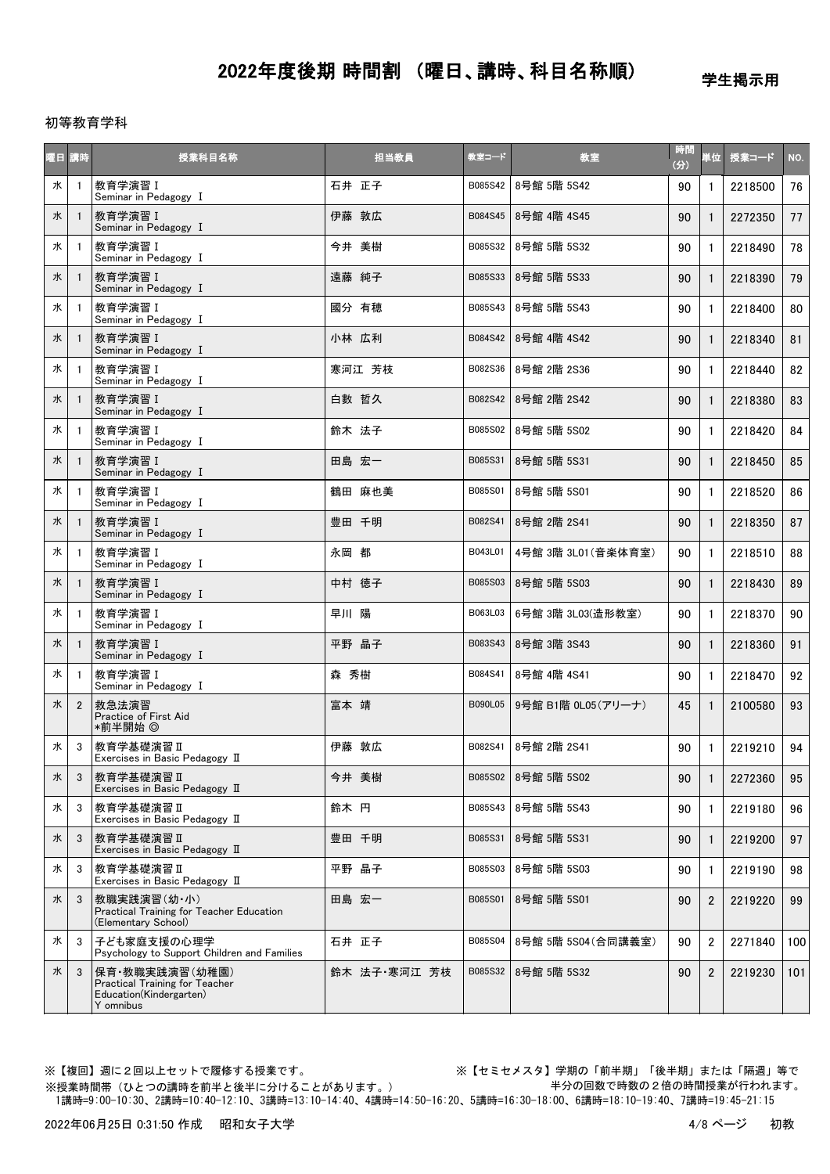学生掲示用

初等教育学科

| 曜日 講時 |                | 授業科目名称                                                                                   | 担当教員         | 教室コード   | 教室                    | 時間<br>(分) | 単位             | 授業コード   | NO. |
|-------|----------------|------------------------------------------------------------------------------------------|--------------|---------|-----------------------|-----------|----------------|---------|-----|
| 水     | $\overline{1}$ | 教育学演習 I<br>Seminar in Pedagogy I                                                         | 石井 正子        | B085S42 | 8号館 5階 5S42           | 90        | $\mathbf{1}$   | 2218500 | 76  |
| 水     |                | 教育学演習 I<br>Seminar in Pedagogy I                                                         | 伊藤 敦広        | B084S45 | 8号館 4階 4S45           | 90        | $\mathbf{1}$   | 2272350 | 77  |
| 水     | $\overline{1}$ | 教育学演習 I<br>Seminar in Pedagogy I                                                         | 今井 美樹        | B085S32 | 8号館 5階 5S32           | 90        | 1              | 2218490 | 78  |
| 水     | $\overline{1}$ | 教育学演習 I<br>Seminar in Pedagogy I                                                         | 遠藤 純子        | B085S33 | 8号館 5階 5S33           | 90        |                | 2218390 | 79  |
| 水     |                | 教育学演習 I<br>Seminar in Pedagogy I                                                         | 國分 有穂        | B085S43 | 8号館 5階 5S43           | 90        | 1              | 2218400 | 80  |
| 水     | $\overline{1}$ | 教育学演習 I<br>Seminar in Pedagogy I                                                         | 小林 広利        | B084S42 | 8号館 4階 4S42           | 90        | $\mathbf{1}$   | 2218340 | 81  |
| 水     | $\overline{1}$ | 教育学演習 I<br>Seminar in Pedagogy I                                                         | 寒河江 芳枝       | B082S36 | 8号館 2階 2S36           | 90        | $\mathbf{1}$   | 2218440 | 82  |
| 水     |                | 教育学演習 I<br>Seminar in Pedagogy I                                                         | 白數 哲久        | B082S42 | 8号館 2階 2S42           | 90        | 1              | 2218380 | 83  |
| 水     | -1             | 教育学演習 I<br>Seminar in Pedagogy I                                                         | 鈴木 法子        | B085S02 | 8号館 5階 5S02           | 90        | $\mathbf{1}$   | 2218420 | 84  |
| 水     |                | 教育学演習 I<br>Seminar in Pedagogy I                                                         | 田島 宏一        | B085S31 | 8号館 5階 5S31           | 90        | $\mathbf{1}$   | 2218450 | 85  |
| 水     |                | 教育学演習 I<br>Seminar in Pedagogy I                                                         | 鶴田 麻也美       | B085S01 | 8号館 5階 5S01           | 90        | 1              | 2218520 | 86  |
| 水     | $\overline{1}$ | 教育学演習 I<br>Seminar in Pedagogy I                                                         | 豊田 千明        | B082S41 | 8号館 2階 2S41           | 90        | $\mathbf{1}$   | 2218350 | 87  |
| 水     | $\overline{1}$ | 教育学演習 I<br>Seminar in Pedagogy I                                                         | 永岡 都         | B043L01 | 4号館 3階 3L01 (音楽体育室)   | 90        | 1              | 2218510 | 88  |
| 水     |                | 教育学演習 I<br>Seminar in Pedagogy I                                                         | 中村 徳子        | B085S03 | 8号館 5階 5S03           | 90        |                | 2218430 | 89  |
| 水     | -1             | 教育学演習 I<br>Seminar in Pedagogy I                                                         | 早川 陽         | B063L03 | 6号館 3階 3L03(造形教室)     | 90        | $\mathbf{1}$   | 2218370 | 90  |
| 水     |                | 教育学演習 I<br>Seminar in Pedagogy I                                                         | 平野 晶子        | B083S43 | 8号館 3階 3S43           | 90        |                | 2218360 | 91  |
| 水     |                | 教育学演習 I<br>Seminar in Pedagogy I                                                         | 森 秀樹         | B084S41 | 8号館 4階 4S41           | 90        |                | 2218470 | 92  |
| 水     | $\overline{2}$ | 救急法演習<br>Practice of First Aid<br>*前半開始 ◎                                                | 富本 靖         | B090L05 | 9号館 B1階 0L05(アリーナ)    | 45        | $\mathbf{1}$   | 2100580 | 93  |
| 水     | 3              | 教育学基礎演習Ⅱ<br>Exercises in Basic Pedagogy II                                               | 伊藤 敦広        | B082S41 | 8号館 2階 2S41           | 90        | $\mathbf{1}$   | 2219210 | 94  |
| 水     | 3              | │教育学基礎演習Ⅱ<br>Exercises in Basic Pedagogy II                                              | 今井 美樹        |         | B085S02   8号館 5階 5S02 | 90        | 1              | 2272360 | 95  |
| 水     | 3              | 教育学基礎演習 II<br>Exercises in Basic Pedagogy II                                             | 鈴木 円         | B085S43 | 8号館 5階 5S43           | 90        | 1              | 2219180 | 96  |
| 水     | 3              | 教育学基礎演習Ⅱ<br>Exercises in Basic Pedagogy II                                               | 豊田 千明        | B085S31 | 8号館 5階 5S31           | 90        |                | 2219200 | 97  |
| 水     | 3              | 教育学基礎演習Ⅱ<br>Exercises in Basic Pedagogy II                                               | 平野 晶子        | B085S03 | 8号館 5階 5S03           | 90        | 1              | 2219190 | 98  |
| 水     | 3              | 教職実践演習(幼·小)<br>Practical Training for Teacher Education<br>(Elementary School)           | 田島 宏一        | B085S01 | 8号館 5階 5S01           | 90        | $\overline{2}$ | 2219220 | 99  |
| 水     | 3              | 子ども家庭支援の心理学<br>Psychology to Support Children and Families                               | 石井 正子        | B085S04 | 8号館 5階 5S04 (合同講義室)   | 90        | $\overline{2}$ | 2271840 | 100 |
| 水     | 3              | 保育・教職実践演習(幼稚園)<br>Practical Training for Teacher<br>Education(Kindergarten)<br>Y omnibus | 鈴木 法子·寒河江 芳枝 | B085S32 | 8号館 5階 5S32           | 90        | $\overline{2}$ | 2219230 | 101 |

※【複回】週に2回以上セットで履修する授業です。 ※【セミセメスタ】学期の「前半期」「後半期」または「隔週」等で 半分の回数で時数の2倍の時間授業が行われます。

 1講時=9:00-10:30、2講時=10:40-12:10、3講時=13:10-14:40、4講時=14:50-16:20、5講時=16:30-18:00、6講時=18:10-19:40、7講時=19:45-21:15 ※授業時間帯(ひとつの講時を前半と後半に分けることがあります。)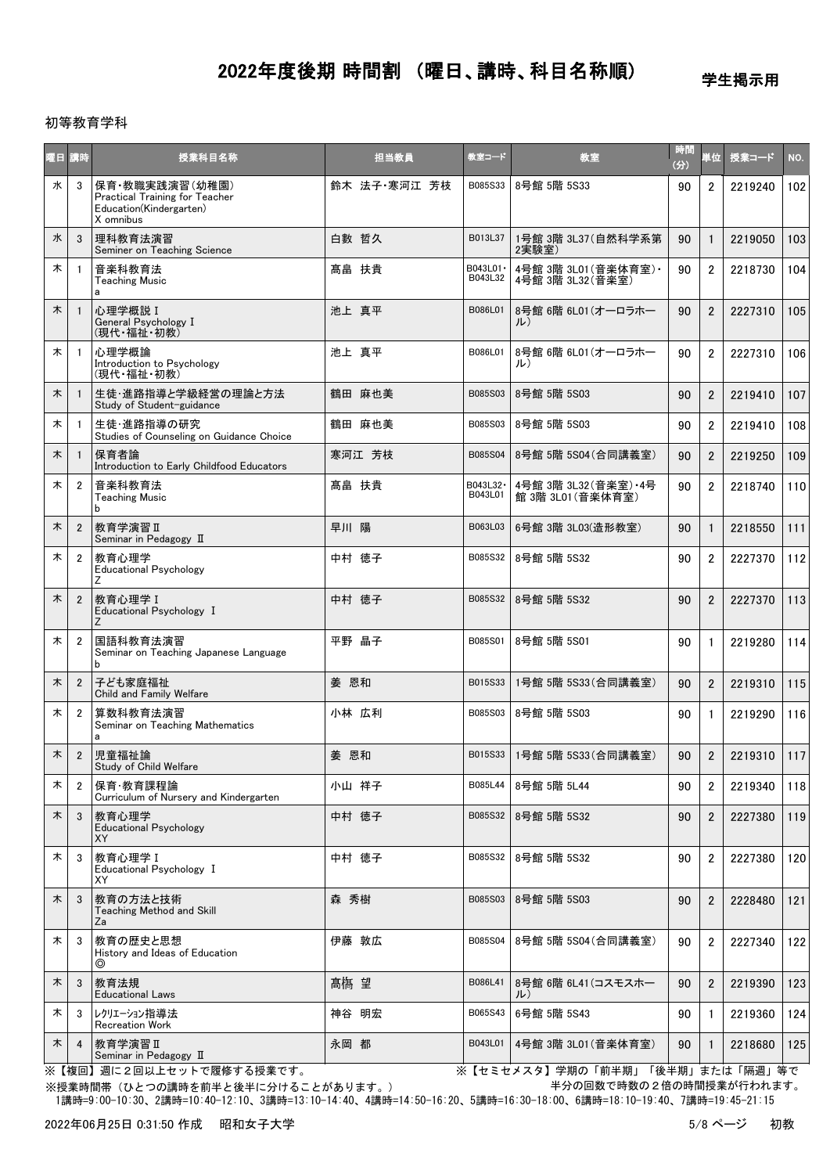学生掲示用

### 初等教育学科

| 曜日 | 請時             | 授業科目名称                                                                                   | 担当教員         | 教室コード                | 教室                                          | 時間<br>(分) | 単位             | 授業コード   | NO. |
|----|----------------|------------------------------------------------------------------------------------------|--------------|----------------------|---------------------------------------------|-----------|----------------|---------|-----|
| 水  | 3              | 保育·教職実践演習(幼稚園)<br>Practical Training for Teacher<br>Education(Kindergarten)<br>X omnibus | 鈴木 法子 寒河江 芳枝 | B085S33              | 8号館 5階 5S33                                 | 90        | $\overline{2}$ | 2219240 | 102 |
| 水  | 3              | 理科教育法演習<br>Seminer on Teaching Science                                                   | 白數 哲久        | B013L37              | 1号館 3階 3L37 (自然科学系第<br>2実験室)                | 90        | 1              | 2219050 | 103 |
| 木  | $\mathbf{1}$   | 音楽科教育法<br><b>Teaching Music</b><br>a                                                     | 髙畠 扶貴        | B043L01 ·<br>B043L32 | 4号館 3階 3L01 (音楽体育室) ·<br>4号館 3階 3L32 (音楽室)  | 90        | $\overline{2}$ | 2218730 | 104 |
| 木  | $\mathbf{1}$   | 心理学概説 I<br>General Psychology I<br>(現代・福祉・初教)                                            | 池上 真平        | B086L01              | 8号館 6階 6L01(オーロラホー<br>JL)                   | 90        | $\overline{2}$ | 2227310 | 105 |
| 木  | -1             | 心理学概論<br>Introduction to Psychology<br>(現代·福祉·初教)                                        | 池上 真平        | B086L01              | 8号館 6階 6L01 (オーロラホー<br>ル)                   | 90        | $\overline{2}$ | 2227310 | 106 |
| 木  | $\mathbf{1}$   | 生徒・進路指導と学級経営の理論と方法<br>Study of Student-guidance                                          | 鶴田 麻也美       | B085S03              | 8号館 5階 5S03                                 | 90        | $\overline{2}$ | 2219410 | 107 |
| 木  | -1             | 生徒・進路指導の研究<br>Studies of Counseling on Guidance Choice                                   | 鶴田 麻也美       | B085S03              | 8号館 5階 5S03                                 | 90        | $\overline{2}$ | 2219410 | 108 |
| 木  | $\mathbf{1}$   | 保育者論<br>Introduction to Early Childfood Educators                                        | 寒河江 芳枝       | B085S04              | 8号館 5階 5S04 (合同講義室)                         | 90        | $\overline{2}$ | 2219250 | 109 |
| 木  | $\overline{2}$ | 音楽科教育法<br><b>Teaching Music</b><br>h                                                     | 髙畠 扶貴        | B043L32 ·<br>B043L01 | 4号館 3階 3L32 (音楽室) · 4号<br>館 3階 3L01 (音楽体育室) | 90        | $\overline{2}$ | 2218740 | 110 |
| 木  | $\overline{2}$ | 教育学演習Ⅱ<br>Seminar in Pedagogy II                                                         | 早川 陽         | B063L03              | 6号館 3階 3L03(造形教室)                           | 90        | $\mathbf{1}$   | 2218550 | 111 |
| 木  | $\overline{2}$ | 教育心理学<br><b>Educational Psychology</b><br>Ζ                                              | 中村 徳子        | B085S32              | 8号館 5階 5S32                                 | 90        | $\overline{2}$ | 2227370 | 112 |
| 木  | $\overline{2}$ | 教育心理学 I<br>Educational Psychology I<br>Z                                                 | 中村 徳子        | B085S32              | 8号館 5階 5S32                                 | 90        | $\overline{2}$ | 2227370 | 113 |
| 木  | $\overline{2}$ | 国語科教育法演習<br>Seminar on Teaching Japanese Language<br>b                                   | 平野 晶子        | B085S01              | 8号館 5階 5S01                                 | 90        | $\mathbf{1}$   | 2219280 | 114 |
| 木  | $\overline{2}$ | 子ども家庭福祉<br>Child and Family Welfare                                                      | 姜 恩和         | B015S33              | 1号館 5階 5S33 (合同講義室)                         | 90        | $\overline{2}$ | 2219310 | 115 |
| 木  | $\overline{2}$ | 算数科教育法演習<br>Seminar on Teaching Mathematics<br>a                                         | 小林 広利        | B085S03              | 8号館 5階 5S03                                 | 90        | $\mathbf{1}$   | 2219290 | 116 |
| 木  | $\overline{2}$ | 児童福祉論<br>Study of Child Welfare                                                          | 姜 恩和         | B015S33              | 1号館 5階 5S33(合同講義室)                          | 90        | $\overline{2}$ | 2219310 | 117 |
| 木  | 2              | 保育·教育課程論<br>Curriculum of Nursery and Kindergarten                                       | 小山 祥子        | B085L44              | 8号館 5階 5L44                                 | 90        | $\overline{2}$ | 2219340 | 118 |
| 木  | 3              | 教育心理学<br><b>Educational Psychology</b><br>XY                                             | 中村 徳子        | B085S32              | 8号館 5階 5S32                                 | 90        | $\overline{2}$ | 2227380 | 119 |
| 木  | 3              | 教育心理学 I<br>Educational Psychology I<br>XY                                                | 中村 徳子        | B085S32              | 8号館 5階 5S32                                 | 90        | 2              | 2227380 | 120 |
| 木  | 3              | 教育の方法と技術<br>Teaching Method and Skill<br>Za                                              | 森 秀樹         | B085S03              | 8号館 5階 5S03                                 | 90        | $\overline{2}$ | 2228480 | 121 |
| 木  | 3              | 教育の歴史と思想<br>History and Ideas of Education<br>◎                                          | 伊藤 敦広        | B085S04              | 8号館 5階 5S04 (合同講義室)                         | 90        | 2              | 2227340 | 122 |
| 木  | 3              | 教育法規<br><b>Educational Laws</b>                                                          | 髙梅 望         | B086L41              | 8号館 6階 6L41(コスモスホー<br>ル)                    | 90        | $\overline{2}$ | 2219390 | 123 |
| 木  | 3              | レクリエーション指導法<br>Recreation Work                                                           | 神谷 明宏        | B065S43              | 6号館 5階 5S43                                 | 90        | 1              | 2219360 | 124 |
| 木  | 4              | 教育学演習 II<br>Seminar in Pedagogy II                                                       | 永岡 都         | B043L01              | 4号館 3階 3L01 (音楽体育室)                         | 90        | $\mathbf{1}$   | 2218680 | 125 |

※【複回】週に2回以上セットで履修する授業です。 ※【セミセメスタ】学期の「前半期」「後半期」または「隔週」等で 半分の回数で時数の2倍の時間授業が行われます。

 1講時=9:00-10:30、2講時=10:40-12:10、3講時=13:10-14:40、4講時=14:50-16:20、5講時=16:30-18:00、6講時=18:10-19:40、7講時=19:45-21:15 ※授業時間帯(ひとつの講時を前半と後半に分けることがあります。)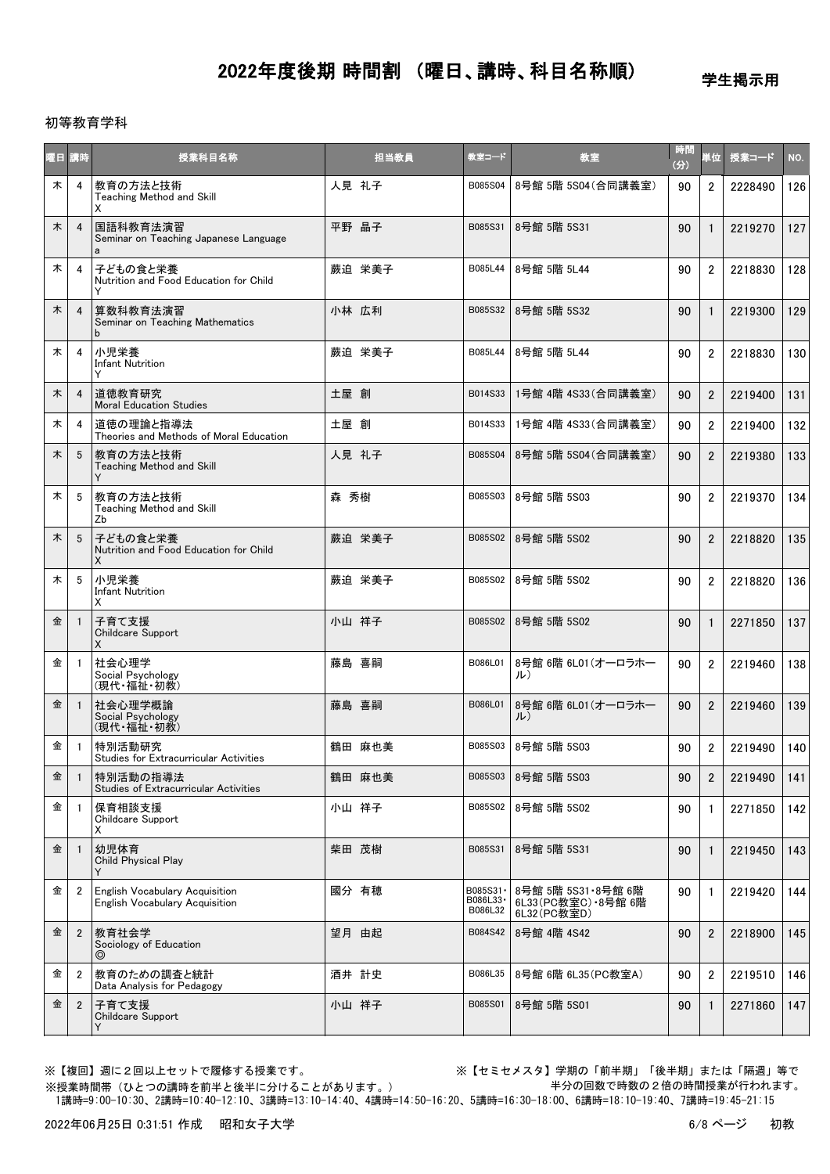学生掲示用

### 初等教育学科

| 曜日 | 請時             | 授業科目名称                                                           | 担当教員   | 教室コード                            | 教室                                                          | 時間<br>(分) | 単位             | 授業コード   | NO. |
|----|----------------|------------------------------------------------------------------|--------|----------------------------------|-------------------------------------------------------------|-----------|----------------|---------|-----|
| 木  | 4              | 教育の方法と技術<br>Teaching Method and Skill<br>X                       | 人見 礼子  | B085S04                          | 8号館 5階 5S04 (合同講義室)                                         | 90        | $\overline{2}$ | 2228490 | 126 |
| 木  | $\overline{4}$ | 国語科教育法演習<br>Seminar on Teaching Japanese Language<br>a           | 平野 晶子  | B085S31                          | 8号館 5階 5S31                                                 | 90        | $\mathbf{1}$   | 2219270 | 127 |
| 木  | 4              | 子どもの食と栄養<br>Nutrition and Food Education for Child               | 蕨迫 栄美子 | B085L44                          | 8号館 5階 5L44                                                 | 90        | $\overline{2}$ | 2218830 | 128 |
| 木  | $\overline{4}$ | 算数科教育法演習<br>Seminar on Teaching Mathematics<br>b                 | 小林 広利  | B085S32                          | 8号館 5階 5S32                                                 | 90        | 1              | 2219300 | 129 |
| 木  | 4              | 小児栄養<br><b>Infant Nutrition</b><br>Y                             | 蕨迫 栄美子 | B085L44                          | 8号館 5階 5L44                                                 | 90        | $\overline{2}$ | 2218830 | 130 |
| 木  | $\overline{4}$ | 道徳教育研究<br><b>Moral Education Studies</b>                         | 土屋 創   | B014S33                          | 1号館 4階 4S33(合同講義室)                                          | 90        | $\overline{2}$ | 2219400 | 131 |
| 木  | 4              | 道徳の理論と指導法<br>Theories and Methods of Moral Education             | 土屋 創   | B014S33                          | 1号館 4階 4S33(合同講義室)                                          | 90        | $\overline{2}$ | 2219400 | 132 |
| 木  | 5              | 教育の方法と技術<br>Teaching Method and Skill                            | 人見 礼子  | B085S04                          | 8号館 5階 5S04 (合同講義室)                                         | 90        | $\overline{2}$ | 2219380 | 133 |
| 木  | 5              | 教育の方法と技術<br>Teaching Method and Skill<br>Zb                      | 森 秀樹   | B085S03                          | 8号館 5階 5S03                                                 | 90        | $\overline{2}$ | 2219370 | 134 |
| 木  | 5              | 子どもの食と栄養<br>Nutrition and Food Education for Child<br>X          | 蕨迫 栄美子 | B085S02                          | 8号館 5階 5S02                                                 | 90        | $\overline{2}$ | 2218820 | 135 |
| 木  | 5              | 小児栄養<br><b>Infant Nutrition</b><br>X                             | 蕨迫 栄美子 | B085S02                          | 8号館 5階 5S02                                                 | 90        | $\overline{2}$ | 2218820 | 136 |
| 金  | -1             | 子育て支援<br>Childcare Support<br>X                                  | 小山 祥子  | B085S02                          | 8号館 5階 5S02                                                 | 90        | $\mathbf{1}$   | 2271850 | 137 |
| 金  |                | 社会心理学<br>Social Psychology<br>(現代·福祉·初教)                         | 藤島 喜嗣  | B086L01                          | 8号館 6階 6L01 (オーロラホー<br>ル)                                   | 90        | $\overline{2}$ | 2219460 | 138 |
| 金  |                | 社会心理学概論<br>Social Psychology<br>(現代・福祉・初教)                       | 藤島 喜嗣  | B086L01                          | 8号館 6階 6L01 (オーロラホー<br>ル)                                   | 90        | $\overline{2}$ | 2219460 | 139 |
| 金  | -1             | 特別活動研究<br><b>Studies for Extracurricular Activities</b>          | 鶴田 麻也美 | B085S03                          | 8号館 5階 5S03                                                 | 90        | $\overline{2}$ | 2219490 | 140 |
| 金  | $\overline{1}$ | 特別活動の指導法<br><b>Studies of Extracurricular Activities</b>         | 鶴田 麻也美 | B085S03                          | 8号館 5階 5S03                                                 | 90        | 2              | 2219490 | 141 |
| 金  | $\overline{1}$ | 保育相談支援<br>Childcare Support<br>х                                 | 小山 祥子  | B085S02                          | 8号館 5階 5S02                                                 | 90        | $\mathbf{1}$   | 2271850 | 142 |
| 金  |                | 幼児体育<br><b>Child Physical Play</b>                               | 柴田 茂樹  | B085S31                          | 8号館 5階 5S31                                                 | 90        |                | 2219450 | 143 |
| 金  | $\overline{2}$ | English Vocabulary Acquisition<br>English Vocabulary Acquisition | 國分 有穂  | B085S31 ·<br>B086L33·<br>B086L32 | 8号館 5階 5S31 · 8号館 6階<br>6L33(PC教室C) · 8号館 6階<br>6L32(PC教室D) | 90        | 1              | 2219420 | 144 |
| 金  | $\overline{2}$ | 教育社会学<br>Sociology of Education<br>$\circledcirc$                | 望月 由起  | B084S42                          | 8号館 4階 4S42                                                 | 90        | 2              | 2218900 | 145 |
| 金  | $\overline{2}$ | 教育のための調査と統計<br>Data Analysis for Pedagogy                        | 酒井 計史  | B086L35                          | 8号館 6階 6L35 (PC教室A)                                         | 90        | $\overline{2}$ | 2219510 | 146 |
| 金  | $\overline{2}$ | 子育て支援<br>Childcare Support                                       | 小山 祥子  | B085S01                          | 8号館 5階 5S01                                                 | 90        | 1              | 2271860 | 147 |

※授業時間帯(ひとつの講時を前半と後半に分けることがあります。)

※【複回】週に2回以上セットで履修する授業です。 ※【セミセメスタ】学期の「前半期」「後半期」または「隔週」等で 半分の回数で時数の2倍の時間授業が行われます。

1講時=9:00-10:30、2講時=10:40-12:10、3講時=13:10-14:40、4講時=14:50-16:20、5講時=16:30-18:00、6講時=18:10-19:40、7講時=19:45-21:15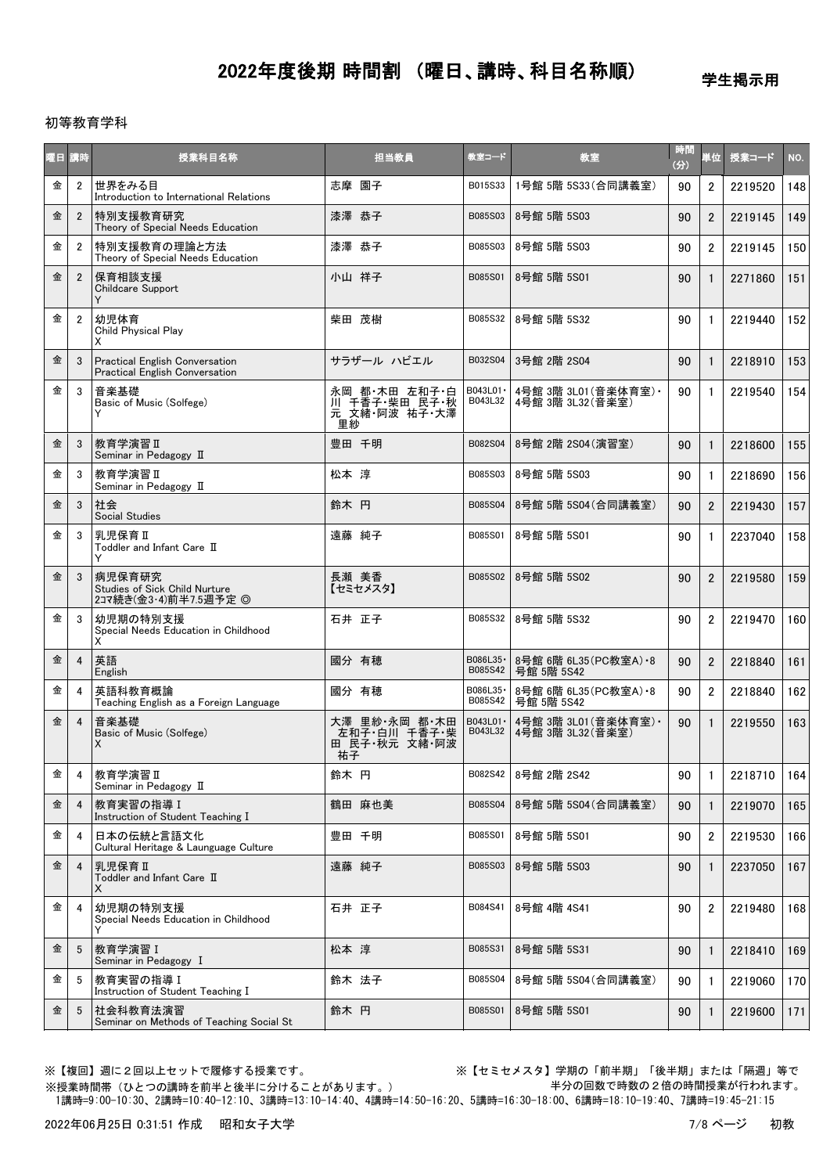学生掲示用

### 初等教育学科

| 曜日講時 |                | 授業科目名称                                                           | 担当教員                                                  | 教室コード                | 教室                                        | 時間<br>(3) | 単位             | 授業コード   | NO. |
|------|----------------|------------------------------------------------------------------|-------------------------------------------------------|----------------------|-------------------------------------------|-----------|----------------|---------|-----|
| 金    | $\overline{2}$ | 世界をみる目<br>Introduction to International Relations                | 志摩 園子                                                 | B015S33              | 1号館 5階 5S33(合同講義室)                        | 90        | $\overline{2}$ | 2219520 | 148 |
| 金    | $\overline{2}$ | 特別支援教育研究<br>Theory of Special Needs Education                    | 漆澤 恭子                                                 | B085S03              | 8号館 5階 5S03                               | 90        | $\overline{2}$ | 2219145 | 149 |
| 金    | $\overline{2}$ | 特別支援教育の理論と方法<br>Theory of Special Needs Education                | 漆澤 恭子                                                 | B085S03              | 8号館 5階 5S03                               | 90        | $\overline{2}$ | 2219145 | 150 |
| 金    | $\overline{2}$ | 保育相談支援<br>Childcare Support                                      | 小山 祥子                                                 | B085S01              | 8号館 5階 5S01                               | 90        | $\mathbf{1}$   | 2271860 | 151 |
| 金    | $\overline{2}$ | 幼児体育<br><b>Child Physical Play</b><br>х                          | 柴田 茂樹                                                 | B085S32              | 8号館 5階 5S32                               | 90        | $\mathbf{1}$   | 2219440 | 152 |
| 金    | 3              | Practical English Conversation<br>Practical English Conversation | サラザール ハビエル                                            | B032S04              | 3号館 2階 2S04                               | 90        | $\mathbf{1}$   | 2218910 | 153 |
| 金    | 3              | 音楽基礎<br>Basic of Music (Solfege)<br>Y                            | 永岡 都 木田 左和子 白<br>川 千香子 柴田 民子 秋<br>元 文緒 阿波 祐子 大澤<br>里紗 | B043L01 ·<br>B043L32 | 4号館 3階 3L01(音楽体育室) ·<br>4号館 3階 3L32 (音楽室) | 90        | $\mathbf{1}$   | 2219540 | 154 |
| 金    | 3              | 教育学演習Ⅱ<br>Seminar in Pedagogy II                                 | 豊田 千明                                                 | B082S04              | 8号館 2階 2S04 (演習室)                         | 90        | $\mathbf{1}$   | 2218600 | 155 |
| 金    | 3              | 教育学演習 II<br>Seminar in Pedagogy II                               | 松本 淳                                                  | B085S03              | 8号館 5階 5S03                               | 90        | $\mathbf{1}$   | 2218690 | 156 |
| 金    | 3              | 社会<br>Social Studies                                             | 鈴木 円                                                  | B085S04              | 8号館 5階 5S04 (合同講義室)                       | 90        | $\overline{2}$ | 2219430 | 157 |
| 金    | 3              | 乳児保育Ⅱ<br>Toddler and Infant Care II<br>Y                         | 遠藤 純子                                                 | B085S01              | 8号館 5階 5S01                               | 90        | $\mathbf{1}$   | 2237040 | 158 |
| 金    | 3              | 病児保育研究<br>Studies of Sick Child Nurture<br>2コマ続き(金3·4)前半7.5週予定 ◎ | 長瀬 美香<br>【セミセメスタ】                                     | B085S02              | 8号館 5階 5S02                               | 90        | $\overline{2}$ | 2219580 | 159 |
| 金    | 3              | 幼児期の特別支援<br>Special Needs Education in Childhood<br>X            | 石井 正子                                                 | B085S32              | 8号館 5階 5S32                               | 90        | $\overline{2}$ | 2219470 | 160 |
| 金    | $\overline{4}$ | 英語<br>English                                                    | 國分 有穂                                                 | B086L35-<br>B085S42  | 8号館 6階 6L35 (PC教室A) · 8<br>号館 5階 5S42     | 90        | $\overline{2}$ | 2218840 | 161 |
| 金    | 4              | 英語科教育概論<br>Teaching English as a Foreign Language                | 國分 有穂                                                 | B086L35 ·<br>B085S42 | 8号館 6階 6L35 (PC教室A) -8<br>号館 5階 5S42      | 90        | $\overline{2}$ | 2218840 | 162 |
| 金    | $\overline{4}$ | 音楽基礎<br>Basic of Music (Solfege)<br>X                            | 大澤 里紗 永岡 都 木田<br>-左和子 白川 千香子 柴<br>田 民子 秋元 文緒 阿波<br>祐子 | B043L01 ·<br>B043L32 | 4号館 3階 3L01(音楽体育室) •<br>4号館 3階 3L32(音楽室)  | 90        | $\mathbf{1}$   | 2219550 | 163 |
| 金    | 4              | 教育学演習 II<br>Seminar in Pedagogy II                               | 鈴木 円                                                  | B082S42              | 8号館 2階 2S42                               | 90        | $\mathbf{1}$   | 2218710 | 164 |
| 金    | $\overline{4}$ | 教育実習の指導Ⅰ<br>Instruction of Student Teaching I                    | 鶴田 麻也美                                                | B085S04              | 8号館 5階 5S04(合同講義室)                        | 90        | $\mathbf{1}$   | 2219070 | 165 |
| 金    | 4              | 日本の伝統と言語文化<br>Cultural Heritage & Launguage Culture              | 豊田 千明                                                 | B085S01              | 8号館 5階 5S01                               | 90        | $\overline{2}$ | 2219530 | 166 |
| 金    | $\overline{4}$ | 乳児保育Ⅱ<br>Toddler and Infant Care II<br>х                         | 遠藤 純子                                                 | B085S03              | 8号館 5階 5S03                               | 90        | 1              | 2237050 | 167 |
| 金    | 4              | 幼児期の特別支援<br>Special Needs Education in Childhood                 | 石井 正子                                                 | B084S41              | 8号館 4階 4S41                               | 90        | $\overline{2}$ | 2219480 | 168 |
| 金    | 5              | 教育学演習 I<br>Seminar in Pedagogy I                                 | 松本 淳                                                  | B085S31              | 8号館 5階 5S31                               | 90        | 1              | 2218410 | 169 |
| 金    | 5              | 教育実習の指導 I<br>Instruction of Student Teaching I                   | 鈴木 法子                                                 | B085S04              | 8号館 5階 5S04(合同講義室)                        | 90        | $\mathbf{1}$   | 2219060 | 170 |
| 金    | 5              | 社会科教育法演習<br>Seminar on Methods of Teaching Social St             | 鈴木 円                                                  | B085S01              | 8号館 5階 5S01                               | 90        | $\mathbf{1}$   | 2219600 | 171 |

※授業時間帯(ひとつの講時を前半と後半に分けることがあります。)

※【複回】週に2回以上セットで履修する授業です。 ※【セミセメスタ】学期の「前半期」「後半期」または「隔週」等で 半分の回数で時数の2倍の時間授業が行われます。

1講時=9:00-10:30、2講時=10:40-12:10、3講時=13:10-14:40、4講時=14:50-16:20、5講時=16:30-18:00、6講時=18:10-19:40、7講時=19:45-21:15

2022年06月25日 0:31:51 作成 昭和女子大学 7/8 キング 7/8 ページ 初教